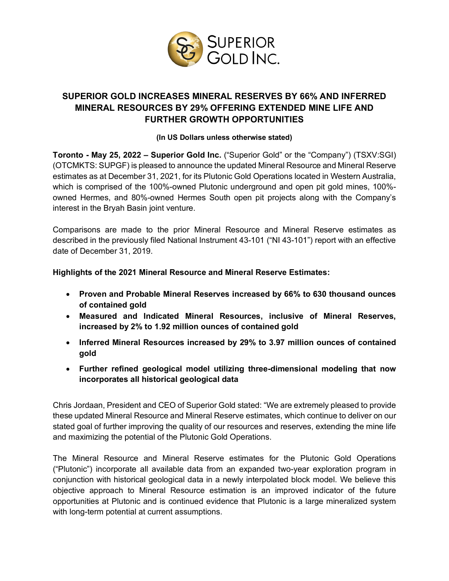

# **SUPERIOR GOLD INCREASES MINERAL RESERVES BY 66% AND INFERRED MINERAL RESOURCES BY 29% OFFERING EXTENDED MINE LIFE AND FURTHER GROWTH OPPORTUNITIES**

#### **(In US Dollars unless otherwise stated)**

**Toronto - May 25, 2022 – Superior Gold Inc.** ("Superior Gold" or the "Company") (TSXV:SGI) (OTCMKTS: SUPGF) is pleased to announce the updated Mineral Resource and Mineral Reserve estimates as at December 31, 2021, for its Plutonic Gold Operations located in Western Australia, which is comprised of the 100%-owned Plutonic underground and open pit gold mines, 100% owned Hermes, and 80%-owned Hermes South open pit projects along with the Company's interest in the Bryah Basin joint venture.

Comparisons are made to the prior Mineral Resource and Mineral Reserve estimates as described in the previously filed National Instrument 43-101 ("NI 43-101") report with an effective date of December 31, 2019.

### **Highlights of the 2021 Mineral Resource and Mineral Reserve Estimates:**

- **Proven and Probable Mineral Reserves increased by 66% to 630 thousand ounces of contained gold**
- **Measured and Indicated Mineral Resources, inclusive of Mineral Reserves, increased by 2% to 1.92 million ounces of contained gold**
- **Inferred Mineral Resources increased by 29% to 3.97 million ounces of contained gold**
- **Further refined geological model utilizing three-dimensional modeling that now incorporates all historical geological data**

Chris Jordaan, President and CEO of Superior Gold stated: "We are extremely pleased to provide these updated Mineral Resource and Mineral Reserve estimates, which continue to deliver on our stated goal of further improving the quality of our resources and reserves, extending the mine life and maximizing the potential of the Plutonic Gold Operations.

The Mineral Resource and Mineral Reserve estimates for the Plutonic Gold Operations ("Plutonic") incorporate all available data from an expanded two-year exploration program in conjunction with historical geological data in a newly interpolated block model. We believe this objective approach to Mineral Resource estimation is an improved indicator of the future opportunities at Plutonic and is continued evidence that Plutonic is a large mineralized system with long-term potential at current assumptions.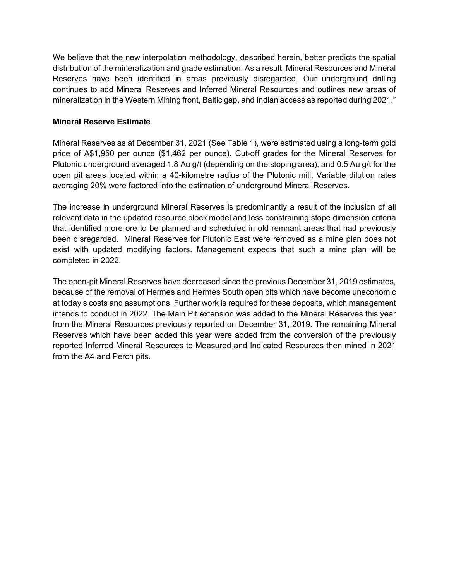We believe that the new interpolation methodology, described herein, better predicts the spatial distribution of the mineralization and grade estimation. As a result, Mineral Resources and Mineral Reserves have been identified in areas previously disregarded. Our underground drilling continues to add Mineral Reserves and Inferred Mineral Resources and outlines new areas of mineralization in the Western Mining front, Baltic gap, and Indian access as reported during 2021."

# **Mineral Reserve Estimate**

Mineral Reserves as at December 31, 2021 (See Table 1), were estimated using a long-term gold price of A\$1,950 per ounce (\$1,462 per ounce). Cut-off grades for the Mineral Reserves for Plutonic underground averaged 1.8 Au g/t (depending on the stoping area), and 0.5 Au g/t for the open pit areas located within a 40-kilometre radius of the Plutonic mill. Variable dilution rates averaging 20% were factored into the estimation of underground Mineral Reserves.

The increase in underground Mineral Reserves is predominantly a result of the inclusion of all relevant data in the updated resource block model and less constraining stope dimension criteria that identified more ore to be planned and scheduled in old remnant areas that had previously been disregarded. Mineral Reserves for Plutonic East were removed as a mine plan does not exist with updated modifying factors. Management expects that such a mine plan will be completed in 2022.

The open-pit Mineral Reserves have decreased since the previous December 31, 2019 estimates, because of the removal of Hermes and Hermes South open pits which have become uneconomic at today's costs and assumptions. Further work is required for these deposits, which management intends to conduct in 2022. The Main Pit extension was added to the Mineral Reserves this year from the Mineral Resources previously reported on December 31, 2019. The remaining Mineral Reserves which have been added this year were added from the conversion of the previously reported Inferred Mineral Resources to Measured and Indicated Resources then mined in 2021 from the A4 and Perch pits.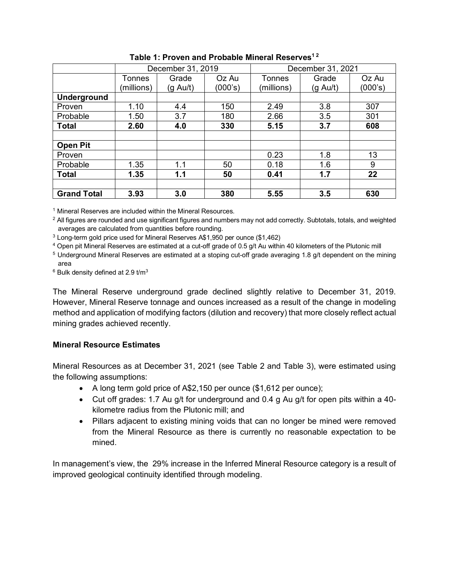|                    | December 31, 2019 |                    |         | December 31, 2021 |                    |         |
|--------------------|-------------------|--------------------|---------|-------------------|--------------------|---------|
|                    | Tonnes            | Grade              | Oz Au   | <b>Tonnes</b>     | Grade              | Oz Au   |
|                    | (millions)        | $(g \text{ Au/t})$ | (000's) | (millions)        | $(g \text{ Au/t})$ | (000's) |
| <b>Underground</b> |                   |                    |         |                   |                    |         |
| Proven             | 1.10              | 4.4                | 150     | 2.49              | 3.8                | 307     |
| Probable           | 1.50              | 3.7                | 180     | 2.66              | 3.5                | 301     |
| <b>Total</b>       | 2.60              | 4.0                | 330     | 5.15              | 3.7                | 608     |
|                    |                   |                    |         |                   |                    |         |
| <b>Open Pit</b>    |                   |                    |         |                   |                    |         |
| Proven             |                   |                    |         | 0.23              | 1.8                | 13      |
| Probable           | 1.35              | 1.1                | 50      | 0.18              | 1.6                | 9       |
| <b>Total</b>       | 1.35              | 1.1                | 50      | 0.41              | 1.7                | 22      |
|                    |                   |                    |         |                   |                    |         |
| <b>Grand Total</b> | 3.93              | 3.0                | 380     | 5.55              | 3.5                | 630     |

**Table 1: Proven and Probable Mineral Reserves1 2**

<sup>1</sup> Mineral Reserves are included within the Mineral Resources.

<sup>2</sup> All figures are rounded and use significant figures and numbers may not add correctly. Subtotals, totals, and weighted averages are calculated from quantities before rounding.

<sup>3</sup> Long-term gold price used for Mineral Reserves A\$1,950 per ounce (\$1,462)

<sup>4</sup> Open pit Mineral Reserves are estimated at a cut-off grade of 0.5 g/t Au within 40 kilometers of the Plutonic mill

<sup>5</sup> Underground Mineral Reserves are estimated at a stoping cut-off grade averaging 1.8 g/t dependent on the mining area

 $6$  Bulk density defined at 2.9 t/m<sup>3</sup>

The Mineral Reserve underground grade declined slightly relative to December 31, 2019. However, Mineral Reserve tonnage and ounces increased as a result of the change in modeling method and application of modifying factors (dilution and recovery) that more closely reflect actual mining grades achieved recently.

### **Mineral Resource Estimates**

Mineral Resources as at December 31, 2021 (see Table 2 and Table 3), were estimated using the following assumptions:

- A long term gold price of A\$2,150 per ounce (\$1,612 per ounce);
- Cut off grades: 1.7 Au g/t for underground and 0.4 g Au g/t for open pits within a 40 kilometre radius from the Plutonic mill; and
- Pillars adjacent to existing mining voids that can no longer be mined were removed from the Mineral Resource as there is currently no reasonable expectation to be mined.

In management's view, the 29% increase in the Inferred Mineral Resource category is a result of improved geological continuity identified through modeling.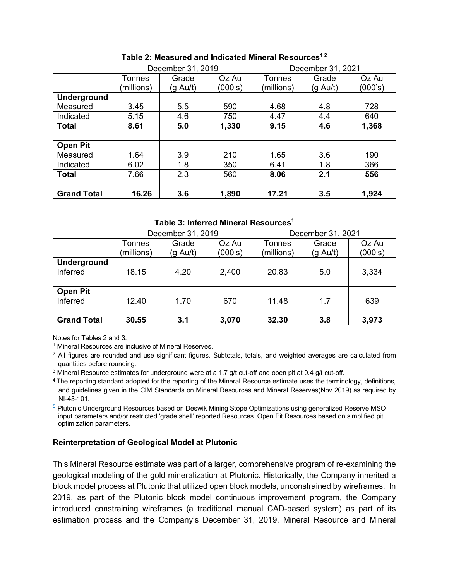|                    | December 31, 2019 |          |         | December 31, 2021 |          |         |
|--------------------|-------------------|----------|---------|-------------------|----------|---------|
|                    | Tonnes            | Grade    | Oz Au   | Tonnes            | Grade    | Oz Au   |
|                    | (millions)        | (g Au/t) | (000's) | (millions)        | (g Au/t) | (000's) |
| <b>Underground</b> |                   |          |         |                   |          |         |
| Measured           | 3.45              | 5.5      | 590     | 4.68              | 4.8      | 728     |
| Indicated          | 5.15              | 4.6      | 750     | 4.47              | 4.4      | 640     |
| <b>Total</b>       | 8.61              | 5.0      | 1,330   | 9.15              | 4.6      | 1,368   |
|                    |                   |          |         |                   |          |         |
| <b>Open Pit</b>    |                   |          |         |                   |          |         |
| Measured           | 1.64              | 3.9      | 210     | 1.65              | 3.6      | 190     |
| Indicated          | 6.02              | 1.8      | 350     | 6.41              | 1.8      | 366     |
| <b>Total</b>       | 7.66              | 2.3      | 560     | 8.06              | 2.1      | 556     |
|                    |                   |          |         |                   |          |         |
| <b>Grand Total</b> | 16.26             | 3.6      | 1,890   | 17.21             | 3.5      | 1,924   |

# **Table 2: Measured and Indicated Mineral Resources1 2**

# **Table 3: Inferred Mineral Resources<sup>1</sup>**

|                    | December 31, 2019    |                             |                  | December 31, 2021           |                             |                  |
|--------------------|----------------------|-----------------------------|------------------|-----------------------------|-----------------------------|------------------|
|                    | Tonnes<br>(millions) | Grade<br>$(g \text{ Au/t})$ | Oz Au<br>(000's) | <b>Tonnes</b><br>(millions) | Grade<br>$(g \text{ Au/t})$ | Oz Au<br>(000's) |
| <b>Underground</b> |                      |                             |                  |                             |                             |                  |
| Inferred           | 18.15                | 4.20                        | 2,400            | 20.83                       | 5.0                         | 3,334            |
|                    |                      |                             |                  |                             |                             |                  |
| <b>Open Pit</b>    |                      |                             |                  |                             |                             |                  |
| Inferred           | 12.40                | 1.70                        | 670              | 11.48                       | 1.7                         | 639              |
|                    |                      |                             |                  |                             |                             |                  |
| <b>Grand Total</b> | 30.55                | 3.1                         | 3,070            | 32.30                       | 3.8                         | 3,973            |

Notes for Tables 2 and 3:

<sup>1</sup> Mineral Resources are inclusive of Mineral Reserves.

 $2$  All figures are rounded and use significant figures. Subtotals, totals, and weighted averages are calculated from quantities before rounding.

 $3$  Mineral Resource estimates for underground were at a 1.7 g/t cut-off and open pit at 0.4 g/t cut-off.

4 The reporting standard adopted for the reporting of the Mineral Resource estimate uses the terminology, definitions, and guidelines given in the CIM Standards on Mineral Resources and Mineral Reserves(Nov 2019) as required by NI-43-101.

<sup>5</sup> Plutonic Underground Resources based on Deswik Mining Stope Optimizations using generalized Reserve MSO input parameters and/or restricted 'grade shell' reported Resources. Open Pit Resources based on simplified pit optimization parameters.

# **Reinterpretation of Geological Model at Plutonic**

This Mineral Resource estimate was part of a larger, comprehensive program of re-examining the geological modeling of the gold mineralization at Plutonic. Historically, the Company inherited a block model process at Plutonic that utilized open block models, unconstrained by wireframes. In 2019, as part of the Plutonic block model continuous improvement program, the Company introduced constraining wireframes (a traditional manual CAD-based system) as part of its estimation process and the Company's December 31, 2019, Mineral Resource and Mineral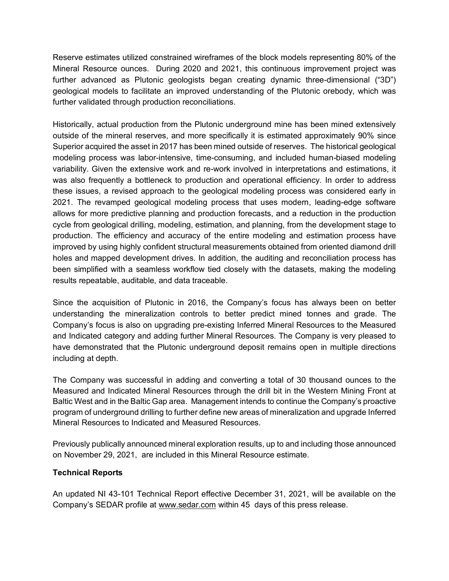Reserve estimates utilized constrained wireframes of the block models representing 80% of the Mineral Resource ounces. During 2020 and 2021, this continuous improvement project was further advanced as Plutonic geologists began creating dynamic three-dimensional ("3D") geological models to facilitate an improved understanding of the Plutonic orebody, which was further validated through production reconciliations.

Historically, actual production from the Plutonic underground mine has been mined extensively outside of the mineral reserves, and more specifically it is estimated approximately 90% since Superior acquired the asset in 2017 has been mined outside of reserves. The historical geological modeling process was labor-intensive, time-consuming, and included human-biased modeling variability. Given the extensive work and re-work involved in interpretations and estimations, it was also frequently a bottleneck to production and operational efficiency. In order to address these issues, a revised approach to the geological modeling process was considered early in 2021. The revamped geological modeling process that uses modern, leading-edge software allows for more predictive planning and production forecasts, and a reduction in the production cycle from geological drilling, modeling, estimation, and planning, from the development stage to production. The efficiency and accuracy of the entire modeling and estimation process have improved by using highly confident structural measurements obtained from oriented diamond drill holes and mapped development drives. In addition, the auditing and reconciliation process has been simplified with a seamless workflow tied closely with the datasets, making the modeling results repeatable, auditable, and data traceable.

Since the acquisition of Plutonic in 2016, the Company's focus has always been on better understanding the mineralization controls to better predict mined tonnes and grade. The Company's focus is also on upgrading pre-existing Inferred Mineral Resources to the Measured and Indicated category and adding further Mineral Resources. The Company is very pleased to have demonstrated that the Plutonic underground deposit remains open in multiple directions including at depth.

The Company was successful in adding and converting a total of 30 thousand ounces to the Measured and Indicated Mineral Resources through the drill bit in the Western Mining Front at Baltic West and in the Baltic Gap area. Management intends to continue the Company's proactive program of underground drilling to further define new areas of mineralization and upgrade Inferred Mineral Resources to Indicated and Measured Resources.

Previously publically announced mineral exploration results, up to and including those announced on November 29, 2021, are included in this Mineral Resource estimate.

# **Technical Reports**

An updated NI 43-101 Technical Report effective December 31, 2021, will be available on the Company's SEDAR profile at [www.sedar.com](http://www.sedar.com/) within 45 days of this press release.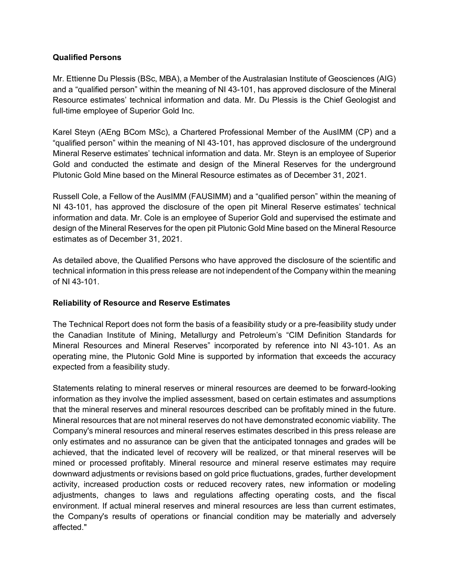# **Qualified Persons**

Mr. Ettienne Du Plessis (BSc, MBA), a Member of the Australasian Institute of Geosciences (AIG) and a "qualified person" within the meaning of NI 43-101, has approved disclosure of the Mineral Resource estimates' technical information and data. Mr. Du Plessis is the Chief Geologist and full-time employee of Superior Gold Inc.

Karel Steyn (AEng BCom MSc), a Chartered Professional Member of the AusIMM (CP) and a "qualified person" within the meaning of NI 43-101, has approved disclosure of the underground Mineral Reserve estimates' technical information and data. Mr. Steyn is an employee of Superior Gold and conducted the estimate and design of the Mineral Reserves for the underground Plutonic Gold Mine based on the Mineral Resource estimates as of December 31, 2021.

Russell Cole, a Fellow of the AusIMM (FAUSIMM) and a "qualified person" within the meaning of NI 43-101, has approved the disclosure of the open pit Mineral Reserve estimates' technical information and data. Mr. Cole is an employee of Superior Gold and supervised the estimate and design of the Mineral Reserves for the open pit Plutonic Gold Mine based on the Mineral Resource estimates as of December 31, 2021.

As detailed above, the Qualified Persons who have approved the disclosure of the scientific and technical information in this press release are not independent of the Company within the meaning of NI 43-101.

### **Reliability of Resource and Reserve Estimates**

The Technical Report does not form the basis of a feasibility study or a pre-feasibility study under the Canadian Institute of Mining, Metallurgy and Petroleum's "CIM Definition Standards for Mineral Resources and Mineral Reserves" incorporated by reference into NI 43-101. As an operating mine, the Plutonic Gold Mine is supported by information that exceeds the accuracy expected from a feasibility study.

Statements relating to mineral reserves or mineral resources are deemed to be forward-looking information as they involve the implied assessment, based on certain estimates and assumptions that the mineral reserves and mineral resources described can be profitably mined in the future. Mineral resources that are not mineral reserves do not have demonstrated economic viability. The Company's mineral resources and mineral reserves estimates described in this press release are only estimates and no assurance can be given that the anticipated tonnages and grades will be achieved, that the indicated level of recovery will be realized, or that mineral reserves will be mined or processed profitably. Mineral resource and mineral reserve estimates may require downward adjustments or revisions based on gold price fluctuations, grades, further development activity, increased production costs or reduced recovery rates, new information or modeling adjustments, changes to laws and regulations affecting operating costs, and the fiscal environment. If actual mineral reserves and mineral resources are less than current estimates, the Company's results of operations or financial condition may be materially and adversely affected."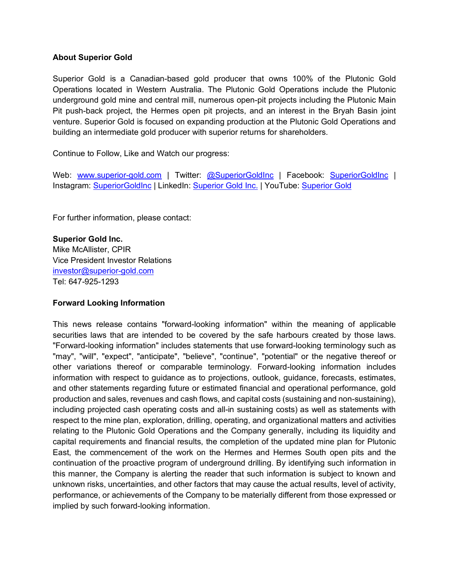### **About Superior Gold**

Superior Gold is a Canadian-based gold producer that owns 100% of the Plutonic Gold Operations located in Western Australia. The Plutonic Gold Operations include the Plutonic underground gold mine and central mill, numerous open-pit projects including the Plutonic Main Pit push-back project, the Hermes open pit projects, and an interest in the Bryah Basin joint venture. Superior Gold is focused on expanding production at the Plutonic Gold Operations and building an intermediate gold producer with superior returns for shareholders.

Continue to Follow, Like and Watch our progress:

Web: [www.superior-gold.com](http://www.superior-gold.com/) | Twitter: [@SuperiorGoldInc](https://twitter.com/superiorgoldinc) | Facebook: [SuperiorGoldInc](https://www.facebook.com/superiorgoldinc) | Instagram: [SuperiorGoldInc](https://www.instagram.com/superiorgoldinc/) | LinkedIn: [Superior Gold Inc.](https://www.linkedin.com/company/superior-gold-inc.) | YouTube: [Superior Gold](https://www.youtube.com/channel/UCmD0Y8VGbEkzbOc3BAKlpsw)

For further information, please contact:

**Superior Gold Inc.** Mike McAllister, CPIR Vice President Investor Relations [investor@superior-gold.com](mailto:investor@superior-gold.com)  Tel: 647-925-1293

### **Forward Looking Information**

This news release contains "forward-looking information" within the meaning of applicable securities laws that are intended to be covered by the safe harbours created by those laws. "Forward-looking information" includes statements that use forward-looking terminology such as "may", "will", "expect", "anticipate", "believe", "continue", "potential" or the negative thereof or other variations thereof or comparable terminology. Forward-looking information includes information with respect to guidance as to projections, outlook, guidance, forecasts, estimates, and other statements regarding future or estimated financial and operational performance, gold production and sales, revenues and cash flows, and capital costs (sustaining and non-sustaining), including projected cash operating costs and all-in sustaining costs) as well as statements with respect to the mine plan, exploration, drilling, operating, and organizational matters and activities relating to the Plutonic Gold Operations and the Company generally, including its liquidity and capital requirements and financial results, the completion of the updated mine plan for Plutonic East, the commencement of the work on the Hermes and Hermes South open pits and the continuation of the proactive program of underground drilling. By identifying such information in this manner, the Company is alerting the reader that such information is subject to known and unknown risks, uncertainties, and other factors that may cause the actual results, level of activity, performance, or achievements of the Company to be materially different from those expressed or implied by such forward-looking information.